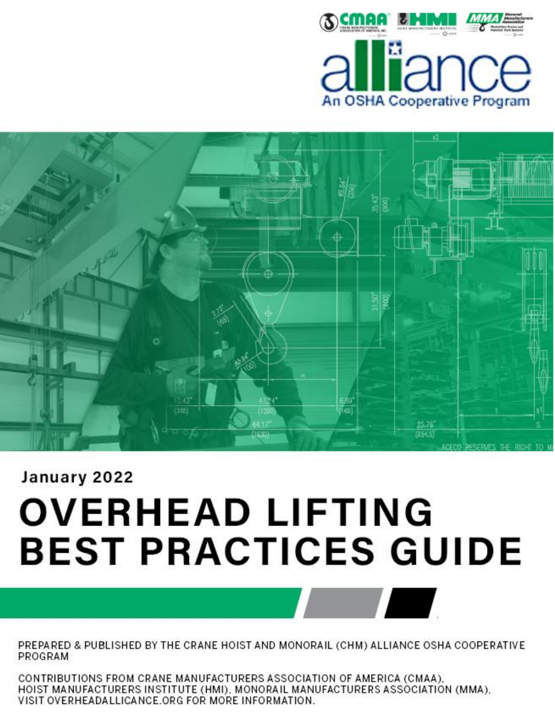



# January 2022 **OVERHEAD LIFTING BEST PRACTICES GUIDE**

PREPARED & PUBLISHED BY THE CRANE HOIST AND MONORAIL (CHM) ALLIANCE OSHA COOPERATIVE PROGRAM

CONTRIBUTIONS FROM CRANE MANUFACTURERS ASSOCIATION OF AMERICA (CMAA), HOIST MANUFACTURERS INSTITUTE (HMI), MONORAIL MANUFACTURERS ASSOCIATION (MMA), VISIT OVERHEADALLICANCE.ORG FOR MORE INFORMATION.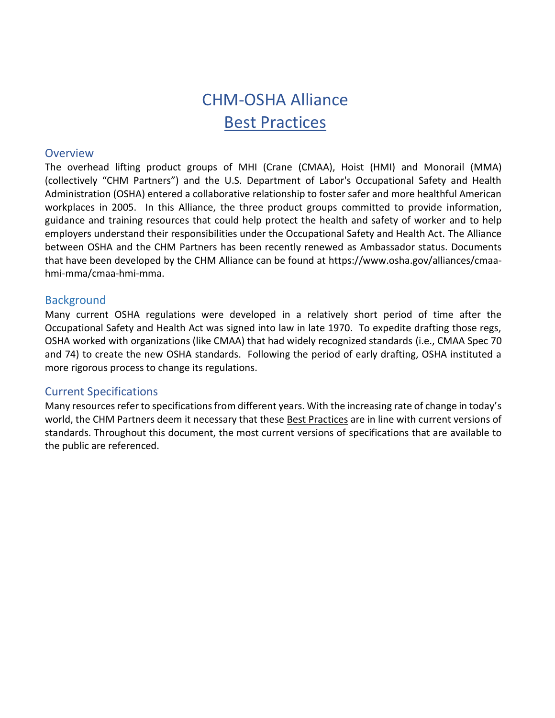# CHM-OSHA Alliance Best Practices

#### **Overview**

The overhead lifting product groups of MHI (Crane (CMAA), Hoist (HMI) and Monorail (MMA) (collectively "CHM Partners") and the U.S. Department of Labor's Occupational Safety and Health Administration (OSHA) entered a collaborative relationship to foster safer and more healthful American workplaces in 2005. In this Alliance, the three product groups committed to provide information, guidance and training resources that could help protect the health and safety of worker and to help employers understand their responsibilities under the Occupational Safety and Health Act. The Alliance between OSHA and the CHM Partners has been recently renewed as Ambassador status. Documents that have been developed by the CHM Alliance can be found at https://www.osha.gov/alliances/cmaahmi-mma/cmaa-hmi-mma.

#### **Background**

Many current OSHA regulations were developed in a relatively short period of time after the Occupational Safety and Health Act was signed into law in late 1970. To expedite drafting those regs, OSHA worked with organizations (like CMAA) that had widely recognized standards (i.e., CMAA Spec 70 and 74) to create the new OSHA standards. Following the period of early drafting, OSHA instituted a more rigorous process to change its regulations.

#### Current Specifications

Many resources refer to specifications from different years. With the increasing rate of change in today's world, the CHM Partners deem it necessary that these Best Practices are in line with current versions of standards. Throughout this document, the most current versions of specifications that are available to the public are referenced.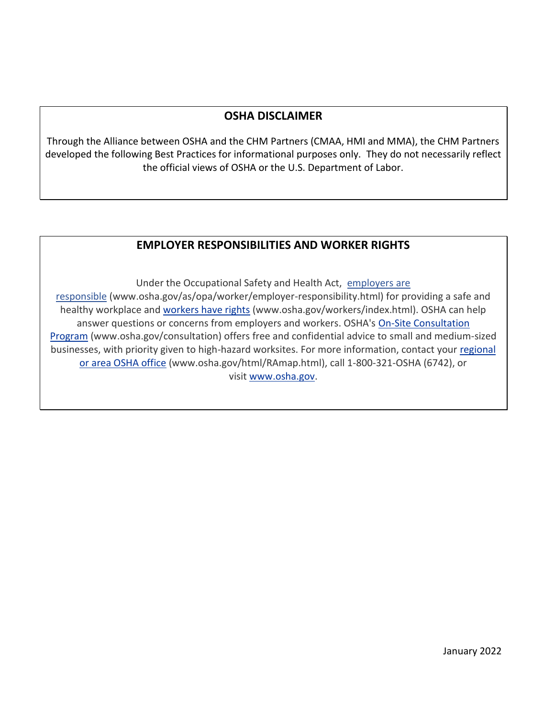# **OSHA DISCLAIMER**

Through the Alliance between OSHA and the CHM Partners (CMAA, HMI and MMA), the CHM Partners developed the following Best Practices for informational purposes only. They do not necessarily reflect the official views of OSHA or the U.S. Department of Labor.

#### **EMPLOYER RESPONSIBILITIES AND WORKER RIGHTS**

Under the Occupational Safety and Health Act, employers are responsible (www.osha.gov/as/opa/worker/employer-responsibility.html) for providing a safe and healthy workplace and [workers have rights](https://www.osha.gov/workers) (www.osha.gov/workers/index.html). OSHA can help answer questions or concerns from employers and workers. OSHA's [On-Site Consultation](https://www.osha.gov/smallbusiness/consult)  [Program](https://www.osha.gov/smallbusiness/consult) (www.osha.gov/consultation) offers free and confidential advice to small and medium-sized businesses, with priority given to high-hazard worksites. For more information, contact your [regional](https://www.osha.gov/contactus/bystate)  [or area OSHA office](https://www.osha.gov/contactus/bystate) (www.osha.gov/html/RAmap.html), call 1-800-321-OSHA (6742), or visit [www.osha.gov.](https://www.osha.gov/)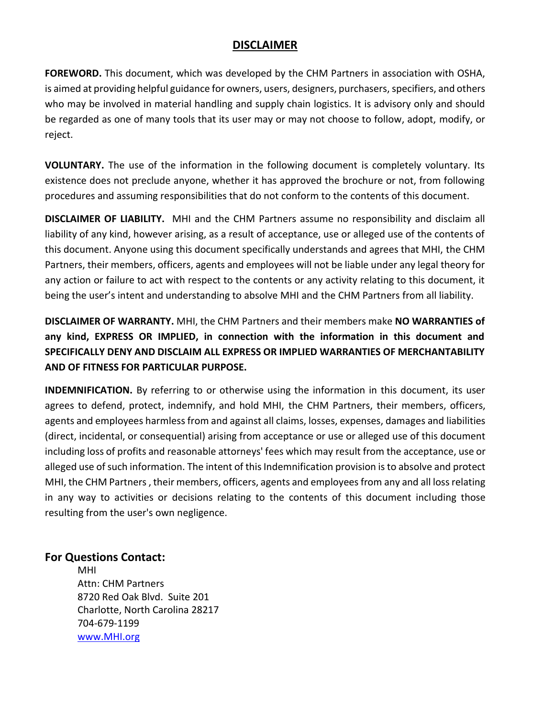#### **DISCLAIMER**

**FOREWORD.** This document, which was developed by the CHM Partners in association with OSHA, is aimed at providing helpful guidance for owners, users, designers, purchasers, specifiers, and others who may be involved in material handling and supply chain logistics. It is advisory only and should be regarded as one of many tools that its user may or may not choose to follow, adopt, modify, or reject.

**VOLUNTARY.** The use of the information in the following document is completely voluntary. Its existence does not preclude anyone, whether it has approved the brochure or not, from following procedures and assuming responsibilities that do not conform to the contents of this document.

**DISCLAIMER OF LIABILITY.** MHI and the CHM Partners assume no responsibility and disclaim all liability of any kind, however arising, as a result of acceptance, use or alleged use of the contents of this document. Anyone using this document specifically understands and agrees that MHI, the CHM Partners, their members, officers, agents and employees will not be liable under any legal theory for any action or failure to act with respect to the contents or any activity relating to this document, it being the user's intent and understanding to absolve MHI and the CHM Partners from all liability.

**DISCLAIMER OF WARRANTY.** MHI, the CHM Partners and their members make **NO WARRANTIES of any kind, EXPRESS OR IMPLIED, in connection with the information in this document and SPECIFICALLY DENY AND DISCLAIM ALL EXPRESS OR IMPLIED WARRANTIES OF MERCHANTABILITY AND OF FITNESS FOR PARTICULAR PURPOSE.**

**INDEMNIFICATION.** By referring to or otherwise using the information in this document, its user agrees to defend, protect, indemnify, and hold MHI, the CHM Partners, their members, officers, agents and employees harmless from and against all claims, losses, expenses, damages and liabilities (direct, incidental, or consequential) arising from acceptance or use or alleged use of this document including loss of profits and reasonable attorneys' fees which may result from the acceptance, use or alleged use of such information. The intent of this Indemnification provision is to absolve and protect MHI, the CHM Partners , their members, officers, agents and employees from any and all loss relating in any way to activities or decisions relating to the contents of this document including those resulting from the user's own negligence.

#### **For Questions Contact:**

MHI Attn: CHM Partners 8720 Red Oak Blvd. Suite 201 Charlotte, North Carolina 28217 704-679-1199 [www.MHI.org](http://www.mhi.org/)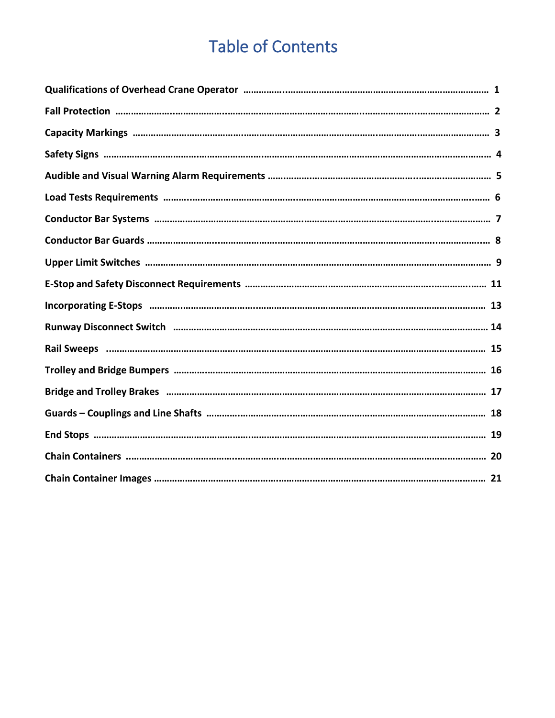# Table of Contents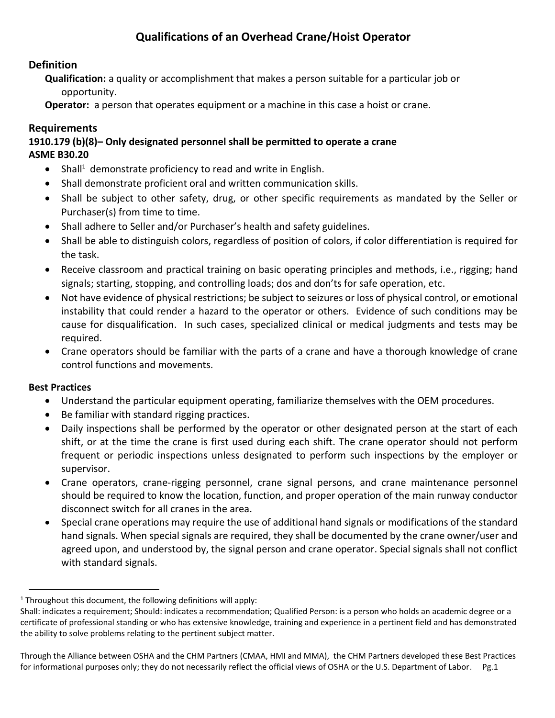# **Qualifications of an Overhead Crane/Hoist Operator**

#### **Definition**

**Qualification:** a quality or accomplishment that makes a person suitable for a particular job or opportunity.

**Operator:** a person that operates equipment or a machine in this case a hoist or crane.

#### **Requirements**

#### **1910.179 (b)(8)– Only designated personnel shall be permitted to operate a crane ASME B30.20**

- Shall<sup>1</sup> demonstrate proficiency to read and write in English.
- Shall demonstrate proficient oral and written communication skills.
- Shall be subject to other safety, drug, or other specific requirements as mandated by the Seller or Purchaser(s) from time to time.
- Shall adhere to Seller and/or Purchaser's health and safety guidelines.
- Shall be able to distinguish colors, regardless of position of colors, if color differentiation is required for the task.
- Receive classroom and practical training on basic operating principles and methods, i.e., rigging; hand signals; starting, stopping, and controlling loads; dos and don'ts for safe operation, etc.
- Not have evidence of physical restrictions; be subject to seizures or loss of physical control, or emotional instability that could render a hazard to the operator or others. Evidence of such conditions may be cause for disqualification. In such cases, specialized clinical or medical judgments and tests may be required.
- Crane operators should be familiar with the parts of a crane and have a thorough knowledge of crane control functions and movements.

- Understand the particular equipment operating, familiarize themselves with the OEM procedures.
- Be familiar with standard rigging practices.
- Daily inspections shall be performed by the operator or other designated person at the start of each shift, or at the time the crane is first used during each shift. The crane operator should not perform frequent or periodic inspections unless designated to perform such inspections by the employer or supervisor.
- Crane operators, crane-rigging personnel, crane signal persons, and crane maintenance personnel should be required to know the location, function, and proper operation of the main runway conductor disconnect switch for all cranes in the area.
- Special crane operations may require the use of additional hand signals or modifications of the standard hand signals. When special signals are required, they shall be documented by the crane owner/user and agreed upon, and understood by, the signal person and crane operator. Special signals shall not conflict with standard signals.

 $1$  Throughout this document, the following definitions will apply:

Shall: indicates a requirement; Should: indicates a recommendation; Qualified Person: is a person who holds an academic degree or a certificate of professional standing or who has extensive knowledge, training and experience in a pertinent field and has demonstrated the ability to solve problems relating to the pertinent subject matter.

Through the Alliance between OSHA and the CHM Partners (CMAA, HMI and MMA), the CHM Partners developed these Best Practices for informational purposes only; they do not necessarily reflect the official views of OSHA or the U.S. Department of Labor. Pg.1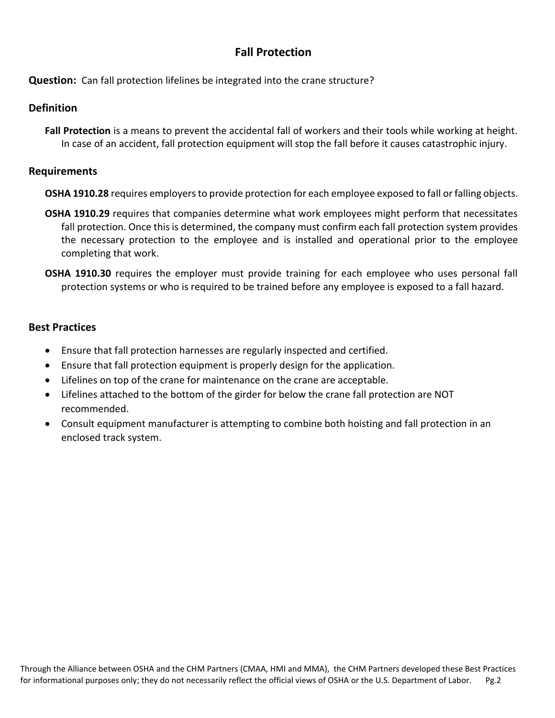# **Fall Protection**

**Question:** Can fall protection lifelines be integrated into the crane structure?

#### **Definition**

**Fall Protection** is a means to prevent the accidental fall of workers and their tools while working at height. In case of an accident, fall protection equipment will stop the fall before it causes catastrophic injury.

#### **Requirements**

- **OSHA 1910.28** requires employers to provide protection for each employee exposed to fall or falling objects.
- **OSHA 1910.29** requires that companies determine what work employees might perform that necessitates fall protection. Once this is determined, the company must confirm each fall protection system provides the necessary protection to the employee and is installed and operational prior to the employee completing that work.
- **OSHA 1910.30** requires the employer must provide training for each employee who uses personal fall protection systems or who is required to be trained before any employee is exposed to a fall hazard.

- Ensure that fall protection harnesses are regularly inspected and certified.
- Ensure that fall protection equipment is properly design for the application.
- Lifelines on top of the crane for maintenance on the crane are acceptable.
- Lifelines attached to the bottom of the girder for below the crane fall protection are NOT recommended.
- Consult equipment manufacturer is attempting to combine both hoisting and fall protection in an enclosed track system.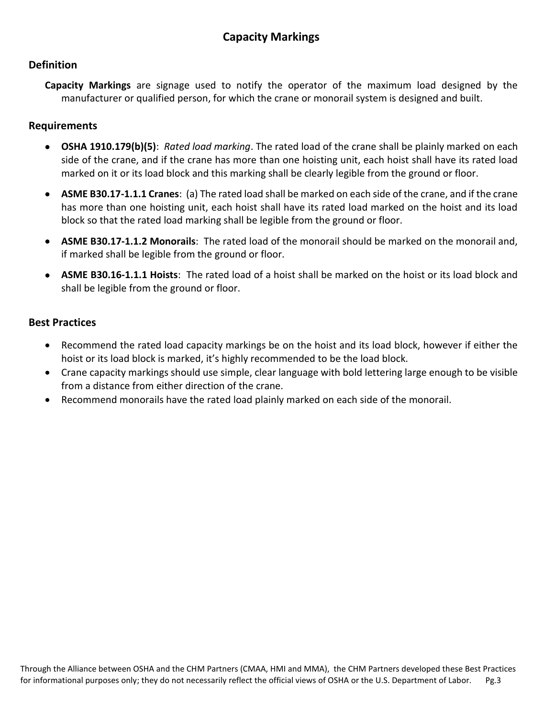#### **Definition**

**Capacity Markings** are signage used to notify the operator of the maximum load designed by the manufacturer or qualified person, for which the crane or monorail system is designed and built.

#### **Requirements**

- **OSHA [1910.179\(b\)\(5\)](https://www.osha.gov/pls/oshaweb/owalink.query_links?src_doc_type=STANDARDS&src_unique_file=1910_0179&src_anchor_name=1910.179(b)(5))**: *Rated load marking*. The rated load of the crane shall be plainly marked on each side of the crane, and if the crane has more than one hoisting unit, each hoist shall have its rated load marked on it or its load block and this marking shall be clearly legible from the ground or floor.
- **ASME B30.17-1.1.1 Cranes**: (a) The rated load shall be marked on each side of the crane, and if the crane has more than one hoisting unit, each hoist shall have its rated load marked on the hoist and its load block so that the rated load marking shall be legible from the ground or floor.
- **ASME B30.17-1.1.2 Monorails**: The rated load of the monorail should be marked on the monorail and, if marked shall be legible from the ground or floor.
- **ASME B30.16-1.1.1 Hoists**: The rated load of a hoist shall be marked on the hoist or its load block and shall be legible from the ground or floor.

- Recommend the rated load capacity markings be on the hoist and its load block, however if either the hoist or its load block is marked, it's highly recommended to be the load block.
- Crane capacity markings should use simple, clear language with bold lettering large enough to be visible from a distance from either direction of the crane.
- Recommend monorails have the rated load plainly marked on each side of the monorail.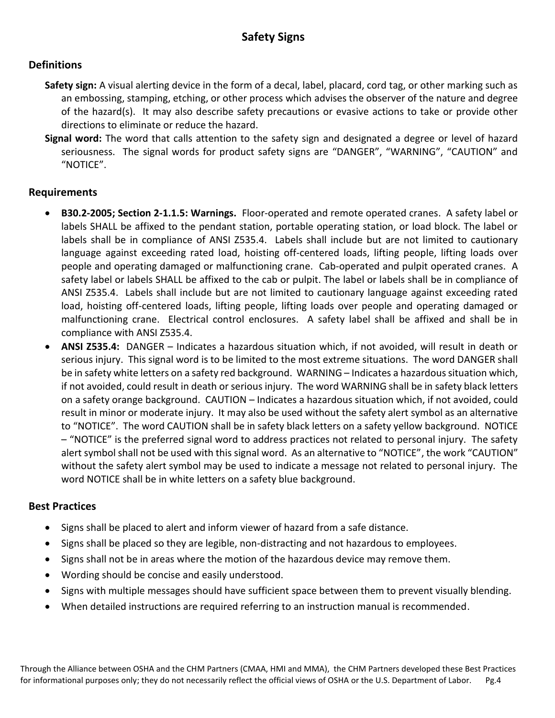#### **Definitions**

- **Safety sign:** A visual alerting device in the form of a decal, label, placard, cord tag, or other marking such as an embossing, stamping, etching, or other process which advises the observer of the nature and degree of the hazard(s). It may also describe safety precautions or evasive actions to take or provide other directions to eliminate or reduce the hazard.
- **Signal word:** The word that calls attention to the safety sign and designated a degree or level of hazard seriousness. The signal words for product safety signs are "DANGER", "WARNING", "CAUTION" and "NOTICE".

#### **Requirements**

- **B30.2-2005; Section 2-1.1.5: Warnings.** Floor-operated and remote operated cranes. A safety label or labels SHALL be affixed to the pendant station, portable operating station, or load block. The label or labels shall be in compliance of ANSI Z535.4. Labels shall include but are not limited to cautionary language against exceeding rated load, hoisting off-centered loads, lifting people, lifting loads over people and operating damaged or malfunctioning crane. Cab-operated and pulpit operated cranes. A safety label or labels SHALL be affixed to the cab or pulpit. The label or labels shall be in compliance of ANSI Z535.4. Labels shall include but are not limited to cautionary language against exceeding rated load, hoisting off-centered loads, lifting people, lifting loads over people and operating damaged or malfunctioning crane. Electrical control enclosures. A safety label shall be affixed and shall be in compliance with ANSI Z535.4.
- **ANSI Z535.4:** DANGER Indicates a hazardous situation which, if not avoided, will result in death or serious injury. This signal word is to be limited to the most extreme situations. The word DANGER shall be in safety white letters on a safety red background. WARNING – Indicates a hazardous situation which, if not avoided, could result in death or serious injury. The word WARNING shall be in safety black letters on a safety orange background. CAUTION – Indicates a hazardous situation which, if not avoided, could result in minor or moderate injury. It may also be used without the safety alert symbol as an alternative to "NOTICE". The word CAUTION shall be in safety black letters on a safety yellow background. NOTICE – "NOTICE" is the preferred signal word to address practices not related to personal injury. The safety alert symbol shall not be used with this signal word. As an alternative to "NOTICE", the work "CAUTION" without the safety alert symbol may be used to indicate a message not related to personal injury. The word NOTICE shall be in white letters on a safety blue background.

- Signs shall be placed to alert and inform viewer of hazard from a safe distance.
- Signs shall be placed so they are legible, non-distracting and not hazardous to employees.
- Signs shall not be in areas where the motion of the hazardous device may remove them.
- Wording should be concise and easily understood.
- Signs with multiple messages should have sufficient space between them to prevent visually blending.
- When detailed instructions are required referring to an instruction manual is recommended.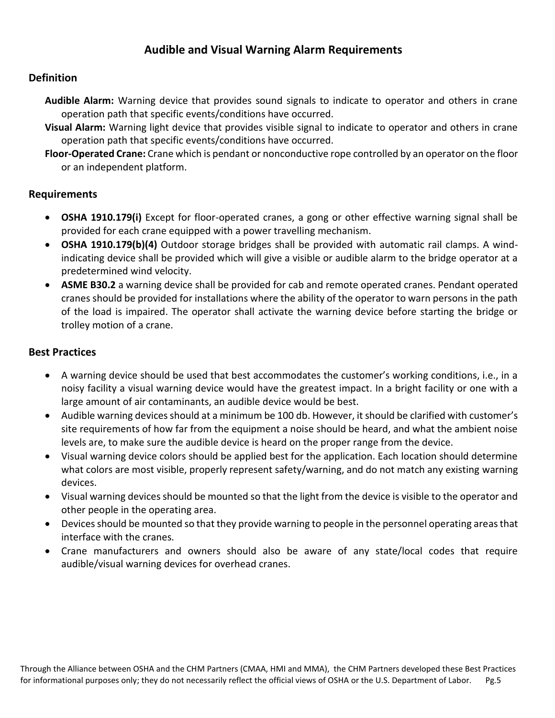## **Audible and Visual Warning Alarm Requirements**

#### **Definition**

- **Audible Alarm:** Warning device that provides sound signals to indicate to operator and others in crane operation path that specific events/conditions have occurred.
- **Visual Alarm:** Warning light device that provides visible signal to indicate to operator and others in crane operation path that specific events/conditions have occurred.
- **Floor-Operated Crane:** Crane which is pendant or nonconductive rope controlled by an operator on the floor or an independent platform.

#### **Requirements**

- **OSHA 1910.179(i)** Except for floor-operated cranes, a gong or other effective warning signal shall be provided for each crane equipped with a power travelling mechanism.
- **OSHA 1910.179(b)(4)** Outdoor storage bridges shall be provided with automatic rail clamps. A windindicating device shall be provided which will give a visible or audible alarm to the bridge operator at a predetermined wind velocity.
- **ASME B30.2** a warning device shall be provided for cab and remote operated cranes. Pendant operated cranes should be provided for installations where the ability of the operator to warn persons in the path of the load is impaired. The operator shall activate the warning device before starting the bridge or trolley motion of a crane.

- A warning device should be used that best accommodates the customer's working conditions, i.e., in a noisy facility a visual warning device would have the greatest impact. In a bright facility or one with a large amount of air contaminants, an audible device would be best.
- Audible warning devices should at a minimum be 100 db. However, it should be clarified with customer's site requirements of how far from the equipment a noise should be heard, and what the ambient noise levels are, to make sure the audible device is heard on the proper range from the device.
- Visual warning device colors should be applied best for the application. Each location should determine what colors are most visible, properly represent safety/warning, and do not match any existing warning devices.
- Visual warning devices should be mounted so that the light from the device is visible to the operator and other people in the operating area.
- Devices should be mounted so that they provide warning to people in the personnel operating areas that interface with the cranes.
- Crane manufacturers and owners should also be aware of any state/local codes that require audible/visual warning devices for overhead cranes.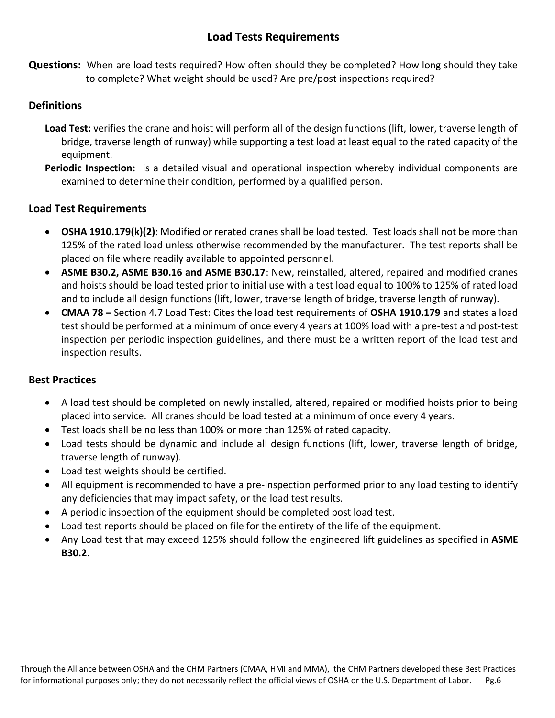# **Load Tests Requirements**

**Questions:** When are load tests required? How often should they be completed? How long should they take to complete? What weight should be used? Are pre/post inspections required?

#### **Definitions**

- **Load Test:** verifies the crane and hoist will perform all of the design functions (lift, lower, traverse length of bridge, traverse length of runway) while supporting a test load at least equal to the rated capacity of the equipment.
- **Periodic Inspection:** is a detailed visual and operational inspection whereby individual components are examined to determine their condition, performed by a qualified person.

#### **Load Test Requirements**

- **OSHA 1910.179(k)(2)**: Modified or rerated cranes shall be load tested. Test loads shall not be more than 125% of the rated load unless otherwise recommended by the manufacturer. The test reports shall be placed on file where readily available to appointed personnel.
- **ASME B30.2, ASME B30.16 and ASME B30.17**: New, reinstalled, altered, repaired and modified cranes and hoists should be load tested prior to initial use with a test load equal to 100% to 125% of rated load and to include all design functions (lift, lower, traverse length of bridge, traverse length of runway).
- **CMAA 78 –** Section 4.7 Load Test: Cites the load test requirements of **OSHA 1910.179** and states a load test should be performed at a minimum of once every 4 years at 100% load with a pre-test and post-test inspection per periodic inspection guidelines, and there must be a written report of the load test and inspection results.

- A load test should be completed on newly installed, altered, repaired or modified hoists prior to being placed into service. All cranes should be load tested at a minimum of once every 4 years.
- Test loads shall be no less than 100% or more than 125% of rated capacity.
- Load tests should be dynamic and include all design functions (lift, lower, traverse length of bridge, traverse length of runway).
- Load test weights should be certified.
- All equipment is recommended to have a pre-inspection performed prior to any load testing to identify any deficiencies that may impact safety, or the load test results.
- A periodic inspection of the equipment should be completed post load test.
- Load test reports should be placed on file for the entirety of the life of the equipment.
- Any Load test that may exceed 125% should follow the engineered lift guidelines as specified in **ASME B30.2**.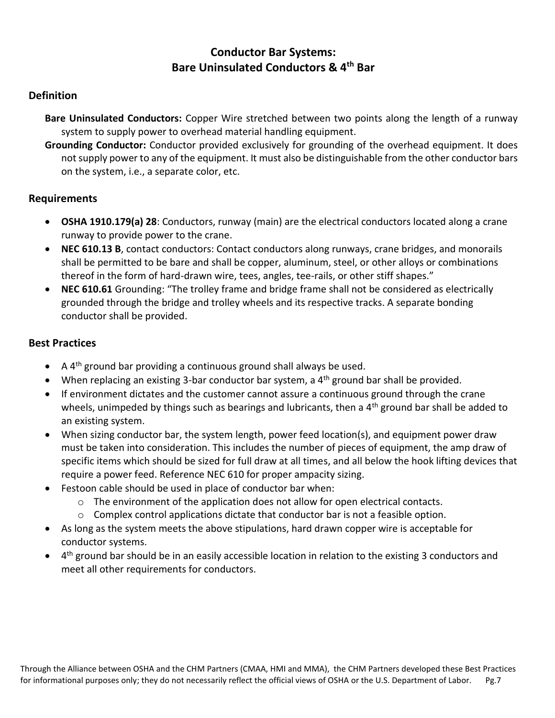## **Conductor Bar Systems: Bare Uninsulated Conductors & 4th Bar**

#### **Definition**

**Bare Uninsulated Conductors:** Copper Wire stretched between two points along the length of a runway system to supply power to overhead material handling equipment.

**Grounding Conductor:** Conductor provided exclusively for grounding of the overhead equipment. It does not supply power to any of the equipment. It must also be distinguishable from the other conductor bars on the system, i.e., a separate color, etc.

#### **Requirements**

- **OSHA 1910.179(a) 28**: Conductors, runway (main) are the electrical conductors located along a crane runway to provide power to the crane.
- **NEC 610.13 B**, contact conductors: Contact conductors along runways, crane bridges, and monorails shall be permitted to be bare and shall be copper, aluminum, steel, or other alloys or combinations thereof in the form of hard-drawn wire, tees, angles, tee-rails, or other stiff shapes."
- **NEC 610.61** Grounding: "The trolley frame and bridge frame shall not be considered as electrically grounded through the bridge and trolley wheels and its respective tracks. A separate bonding conductor shall be provided.

- A  $4<sup>th</sup>$  ground bar providing a continuous ground shall always be used.
- When replacing an existing 3-bar conductor bar system, a  $4<sup>th</sup>$  ground bar shall be provided.
- If environment dictates and the customer cannot assure a continuous ground through the crane wheels, unimpeded by things such as bearings and lubricants, then a  $4<sup>th</sup>$  ground bar shall be added to an existing system.
- When sizing conductor bar, the system length, power feed location(s), and equipment power draw must be taken into consideration. This includes the number of pieces of equipment, the amp draw of specific items which should be sized for full draw at all times, and all below the hook lifting devices that require a power feed. Reference NEC 610 for proper ampacity sizing.
- Festoon cable should be used in place of conductor bar when:
	- $\circ$  The environment of the application does not allow for open electrical contacts.
	- o Complex control applications dictate that conductor bar is not a feasible option.
- As long as the system meets the above stipulations, hard drawn copper wire is acceptable for conductor systems.
- 4<sup>th</sup> ground bar should be in an easily accessible location in relation to the existing 3 conductors and meet all other requirements for conductors.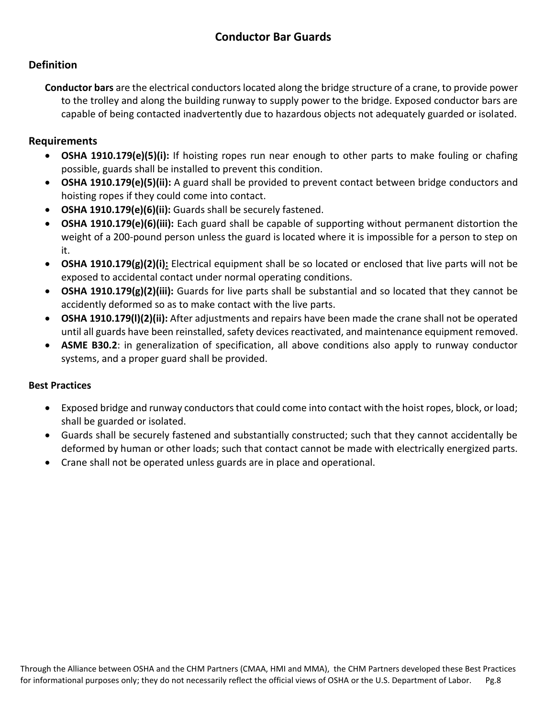#### **Definition**

**Conductor bars** are the electrical conductors located along the bridge structure of a crane, to provide power to the trolley and along the building runway to supply power to the bridge. Exposed conductor bars are capable of being contacted inadvertently due to hazardous objects not adequately guarded or isolated.

#### **Requirements**

- **OSHA 1910.179(e)(5)(i):** If hoisting ropes run near enough to other parts to make fouling or chafing possible, guards shall be installed to prevent this condition.
- **OSHA 1910.179(e)(5)(ii):** A guard shall be provided to prevent contact between bridge conductors and hoisting ropes if they could come into contact.
- **OSHA 1910.179(e)(6)(ii):** Guards shall be securely fastened.
- **OSHA 1910.179(e)(6)(iii):** Each guard shall be capable of supporting without permanent distortion the weight of a 200-pound person unless the guard is located where it is impossible for a person to step on it.
- **OSHA 1910.179(g)(2)(i):** Electrical equipment shall be so located or enclosed that live parts will not be exposed to accidental contact under normal operating conditions.
- **OSHA 1910.179(g)(2)(iii):** Guards for live parts shall be substantial and so located that they cannot be accidently deformed so as to make contact with the live parts.
- **OSHA 1910.179(l)(2)(ii):** After adjustments and repairs have been made the crane shall not be operated until all guards have been reinstalled, safety devices reactivated, and maintenance equipment removed.
- **ASME B30.2**: in generalization of specification, all above conditions also apply to runway conductor systems, and a proper guard shall be provided.

- Exposed bridge and runway conductors that could come into contact with the hoist ropes, block, or load; shall be guarded or isolated.
- Guards shall be securely fastened and substantially constructed; such that they cannot accidentally be deformed by human or other loads; such that contact cannot be made with electrically energized parts.
- Crane shall not be operated unless guards are in place and operational.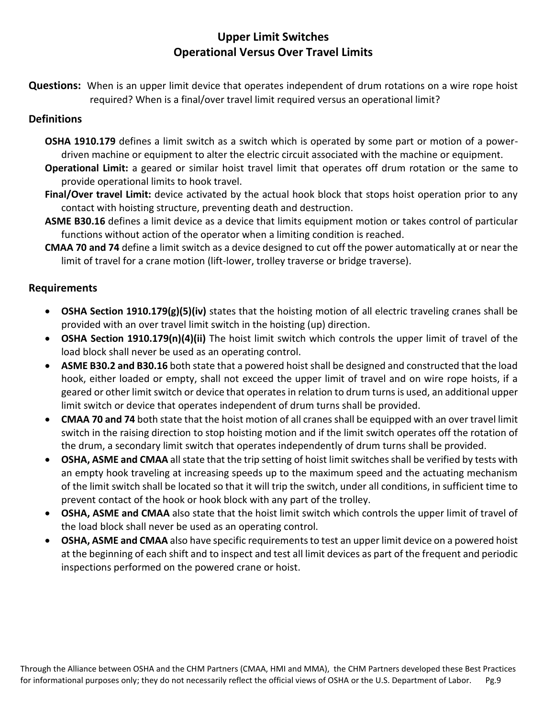# **Upper Limit Switches Operational Versus Over Travel Limits**

**Questions:** When is an upper limit device that operates independent of drum rotations on a wire rope hoist required? When is a final/over travel limit required versus an operational limit?

#### **Definitions**

- **OSHA 1910.179** defines a limit switch as a switch which is operated by some part or motion of a powerdriven machine or equipment to alter the electric circuit associated with the machine or equipment.
- **Operational Limit:** a geared or similar hoist travel limit that operates off drum rotation or the same to provide operational limits to hook travel.
- **Final/Over travel Limit:** device activated by the actual hook block that stops hoist operation prior to any contact with hoisting structure, preventing death and destruction.
- **ASME B30.16** defines a limit device as a device that limits equipment motion or takes control of particular functions without action of the operator when a limiting condition is reached.
- **CMAA 70 and 74** define a limit switch as a device designed to cut off the power automatically at or near the limit of travel for a crane motion (lift-lower, trolley traverse or bridge traverse).

#### **Requirements**

- **OSHA Section 1910.179(g)(5)(iv)** states that the hoisting motion of all electric traveling cranes shall be provided with an over travel limit switch in the hoisting (up) direction.
- **OSHA Section 1910.179(n)(4)(ii)** The hoist limit switch which controls the upper limit of travel of the load block shall never be used as an operating control.
- **ASME B30.2 and B30.16** both state that a powered hoist shall be designed and constructed that the load hook, either loaded or empty, shall not exceed the upper limit of travel and on wire rope hoists, if a geared or other limit switch or device that operates in relation to drum turns is used, an additional upper limit switch or device that operates independent of drum turns shall be provided.
- **CMAA 70 and 74** both state that the hoist motion of all cranes shall be equipped with an over travel limit switch in the raising direction to stop hoisting motion and if the limit switch operates off the rotation of the drum, a secondary limit switch that operates independently of drum turns shall be provided.
- **OSHA, ASME and CMAA** all state that the trip setting of hoist limit switches shall be verified by tests with an empty hook traveling at increasing speeds up to the maximum speed and the actuating mechanism of the limit switch shall be located so that it will trip the switch, under all conditions, in sufficient time to prevent contact of the hook or hook block with any part of the trolley.
- **OSHA, ASME and CMAA** also state that the hoist limit switch which controls the upper limit of travel of the load block shall never be used as an operating control.
- **OSHA, ASME and CMAA** also have specific requirements to test an upper limit device on a powered hoist at the beginning of each shift and to inspect and test all limit devices as part of the frequent and periodic inspections performed on the powered crane or hoist.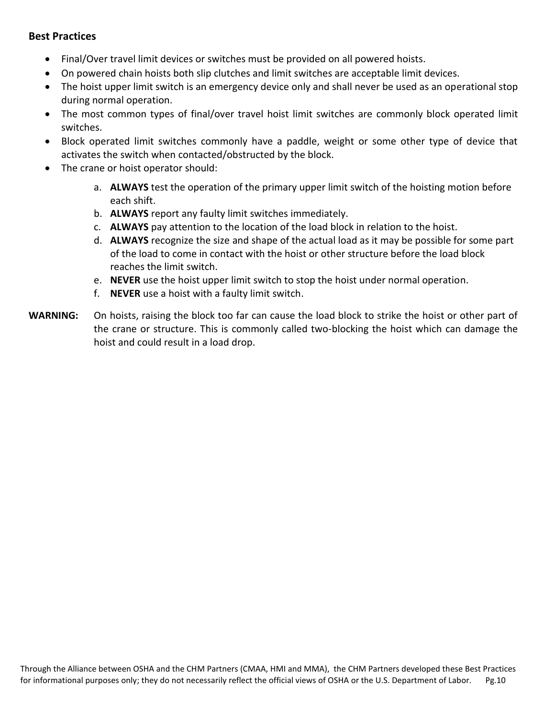- Final/Over travel limit devices or switches must be provided on all powered hoists.
- On powered chain hoists both slip clutches and limit switches are acceptable limit devices.
- The hoist upper limit switch is an emergency device only and shall never be used as an operational stop during normal operation.
- The most common types of final/over travel hoist limit switches are commonly block operated limit switches.
- Block operated limit switches commonly have a paddle, weight or some other type of device that activates the switch when contacted/obstructed by the block.
- The crane or hoist operator should:
	- a. **ALWAYS** test the operation of the primary upper limit switch of the hoisting motion before each shift.
	- b. **ALWAYS** report any faulty limit switches immediately.
	- c. **ALWAYS** pay attention to the location of the load block in relation to the hoist.
	- d. **ALWAYS** recognize the size and shape of the actual load as it may be possible for some part of the load to come in contact with the hoist or other structure before the load block reaches the limit switch.
	- e. **NEVER** use the hoist upper limit switch to stop the hoist under normal operation.
	- f. **NEVER** use a hoist with a faulty limit switch.
- **WARNING:** On hoists, raising the block too far can cause the load block to strike the hoist or other part of the crane or structure. This is commonly called two-blocking the hoist which can damage the hoist and could result in a load drop.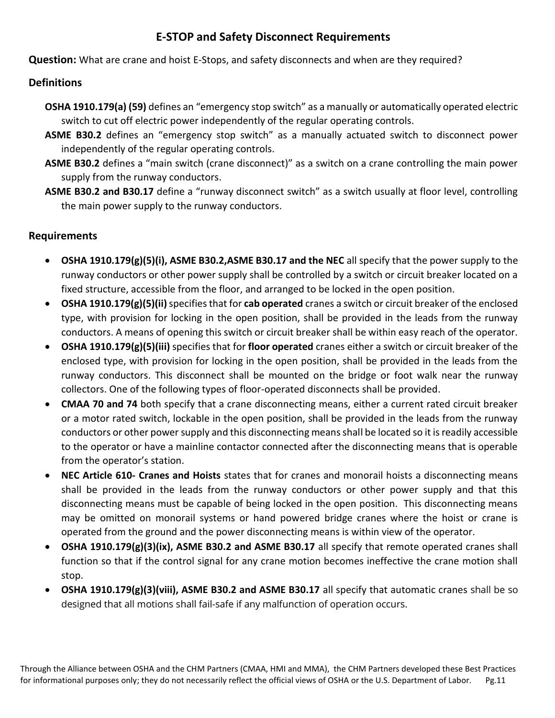# **E-STOP and Safety Disconnect Requirements**

**Question:** What are crane and hoist E-Stops, and safety disconnects and when are they required?

#### **Definitions**

- **OSHA 1910.179(a) (59)** defines an "emergency stop switch" as a manually or automatically operated electric switch to cut off electric power independently of the regular operating controls.
- **ASME B30.2** defines an "emergency stop switch" as a manually actuated switch to disconnect power independently of the regular operating controls.
- **ASME B30.2** defines a "main switch (crane disconnect)" as a switch on a crane controlling the main power supply from the runway conductors.
- **ASME B30.2 and B30.17** define a "runway disconnect switch" as a switch usually at floor level, controlling the main power supply to the runway conductors.

#### **Requirements**

- **OSHA 1910.179(g)(5)(i), ASME B30.2,ASME B30.17 and the NEC** all specify that the power supply to the runway conductors or other power supply shall be controlled by a switch or circuit breaker located on a fixed structure, accessible from the floor, and arranged to be locked in the open position.
- **OSHA 1910.179(g)(5)(ii)**specifies that for **cab operated** cranes a switch or circuit breaker of the enclosed type, with provision for locking in the open position, shall be provided in the leads from the runway conductors. A means of opening this switch or circuit breaker shall be within easy reach of the operator.
- **OSHA 1910.179(g)(5)(iii)** specifies that for **floor operated** cranes either a switch or circuit breaker of the enclosed type, with provision for locking in the open position, shall be provided in the leads from the runway conductors. This disconnect shall be mounted on the bridge or foot walk near the runway collectors. One of the following types of floor-operated disconnects shall be provided.
- **CMAA 70 and 74** both specify that a crane disconnecting means, either a current rated circuit breaker or a motor rated switch, lockable in the open position, shall be provided in the leads from the runway conductors or other power supply and this disconnecting means shall be located so it is readily accessible to the operator or have a mainline contactor connected after the disconnecting means that is operable from the operator's station.
- **NEC Article 610- Cranes and Hoists** states that for cranes and monorail hoists a disconnecting means shall be provided in the leads from the runway conductors or other power supply and that this disconnecting means must be capable of being locked in the open position. This disconnecting means may be omitted on monorail systems or hand powered bridge cranes where the hoist or crane is operated from the ground and the power disconnecting means is within view of the operator.
- **OSHA 1910.179(g)(3)(ix), ASME B30.2 and ASME B30.17** all specify that remote operated cranes shall function so that if the control signal for any crane motion becomes ineffective the crane motion shall stop.
- **OSHA 1910.179(g)(3)(viii), ASME B30.2 and ASME B30.17** all specify that automatic cranes shall be so designed that all motions shall fail-safe if any malfunction of operation occurs.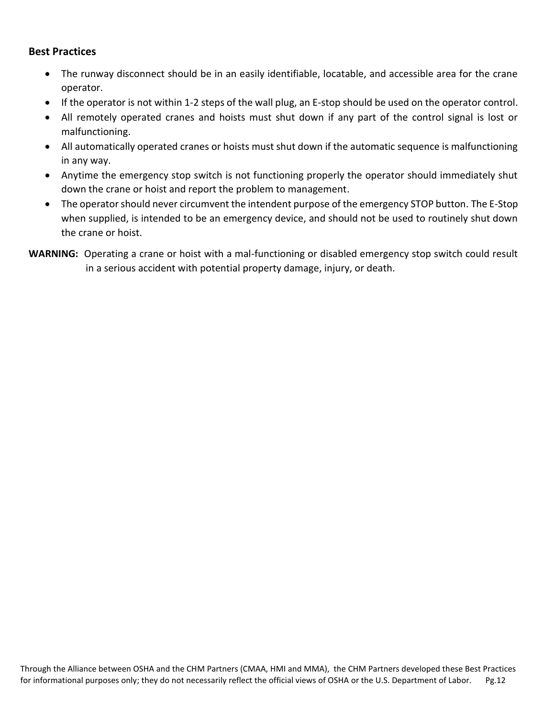- The runway disconnect should be in an easily identifiable, locatable, and accessible area for the crane operator.
- If the operator is not within 1-2 steps of the wall plug, an E-stop should be used on the operator control.
- All remotely operated cranes and hoists must shut down if any part of the control signal is lost or malfunctioning.
- All automatically operated cranes or hoists must shut down if the automatic sequence is malfunctioning in any way.
- Anytime the emergency stop switch is not functioning properly the operator should immediately shut down the crane or hoist and report the problem to management.
- The operator should never circumvent the intendent purpose of the emergency STOP button. The E-Stop when supplied, is intended to be an emergency device, and should not be used to routinely shut down the crane or hoist.
- **WARNING:** Operating a crane or hoist with a mal-functioning or disabled emergency stop switch could result in a serious accident with potential property damage, injury, or death.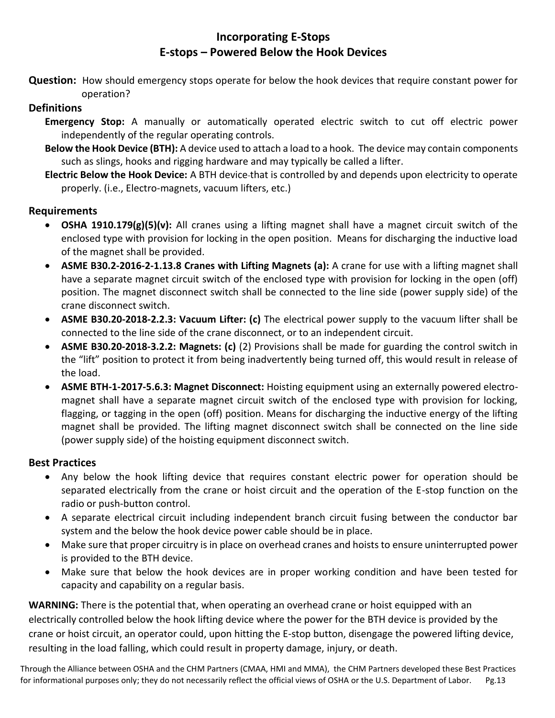# **Incorporating E-Stops E-stops – Powered Below the Hook Devices**

**Question:** How should emergency stops operate for below the hook devices that require constant power for operation?

#### **Definitions**

- **Emergency Stop:** A manually or automatically operated electric switch to cut off electric power independently of the regular operating controls.
- **Below the Hook Device (BTH):** A device used to attach a load to a hook. The device may contain components such as slings, hooks and rigging hardware and may typically be called a lifter.
- **Electric Below the Hook Device:** A BTH device that is controlled by and depends upon electricity to operate properly. (i.e., Electro-magnets, vacuum lifters, etc.)

#### **Requirements**

- **OSHA 1910.179(g)(5)(v):** All cranes using a lifting magnet shall have a magnet circuit switch of the enclosed type with provision for locking in the open position. Means for discharging the inductive load of the magnet shall be provided.
- **ASME B30.2-2016-2-1.13.8 Cranes with Lifting Magnets (a):** A crane for use with a lifting magnet shall have a separate magnet circuit switch of the enclosed type with provision for locking in the open (off) position. The magnet disconnect switch shall be connected to the line side (power supply side) of the crane disconnect switch.
- **ASME B30.20-2018-2.2.3: Vacuum Lifter: (c)** The electrical power supply to the vacuum lifter shall be connected to the line side of the crane disconnect, or to an independent circuit.
- **ASME B30.20-2018-3.2.2: Magnets: (c)** (2) Provisions shall be made for guarding the control switch in the "lift" position to protect it from being inadvertently being turned off, this would result in release of the load.
- **ASME BTH-1-2017-5.6.3: Magnet Disconnect:** Hoisting equipment using an externally powered electromagnet shall have a separate magnet circuit switch of the enclosed type with provision for locking, flagging, or tagging in the open (off) position. Means for discharging the inductive energy of the lifting magnet shall be provided. The lifting magnet disconnect switch shall be connected on the line side (power supply side) of the hoisting equipment disconnect switch.

#### **Best Practices**

- Any below the hook lifting device that requires constant electric power for operation should be separated electrically from the crane or hoist circuit and the operation of the E-stop function on the radio or push-button control.
- A separate electrical circuit including independent branch circuit fusing between the conductor bar system and the below the hook device power cable should be in place.
- Make sure that proper circuitry is in place on overhead cranes and hoists to ensure uninterrupted power is provided to the BTH device.
- Make sure that below the hook devices are in proper working condition and have been tested for capacity and capability on a regular basis.

**WARNING:** There is the potential that, when operating an overhead crane or hoist equipped with an electrically controlled below the hook lifting device where the power for the BTH device is provided by the crane or hoist circuit, an operator could, upon hitting the E-stop button, disengage the powered lifting device, resulting in the load falling, which could result in property damage, injury, or death.

Through the Alliance between OSHA and the CHM Partners (CMAA, HMI and MMA), the CHM Partners developed these Best Practices for informational purposes only; they do not necessarily reflect the official views of OSHA or the U.S. Department of Labor. Pg.13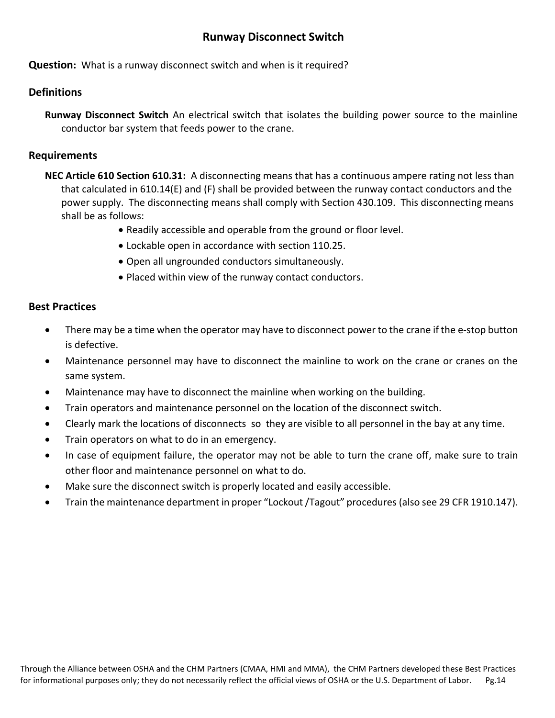#### **Runway Disconnect Switch**

**Question:** What is a runway disconnect switch and when is it required?

#### **Definitions**

**Runway Disconnect Switch** An electrical switch that isolates the building power source to the mainline conductor bar system that feeds power to the crane.

#### **Requirements**

- **NEC Article 610 Section 610.31:** A disconnecting means that has a continuous ampere rating not less than that calculated in 610.14(E) and (F) shall be provided between the runway contact conductors and the power supply. The disconnecting means shall comply with Section 430.109. This disconnecting means shall be as follows:
	- Readily accessible and operable from the ground or floor level.
	- Lockable open in accordance with section 110.25.
	- Open all ungrounded conductors simultaneously.
	- Placed within view of the runway contact conductors.

- There may be a time when the operator may have to disconnect power to the crane if the e-stop button is defective.
- Maintenance personnel may have to disconnect the mainline to work on the crane or cranes on the same system.
- Maintenance may have to disconnect the mainline when working on the building.
- Train operators and maintenance personnel on the location of the disconnect switch.
- Clearly mark the locations of disconnects so they are visible to all personnel in the bay at any time.
- Train operators on what to do in an emergency.
- In case of equipment failure, the operator may not be able to turn the crane off, make sure to train other floor and maintenance personnel on what to do.
- Make sure the disconnect switch is properly located and easily accessible.
- Train the maintenance department in proper "Lockout /Tagout" procedures (also see 29 CFR 1910.147).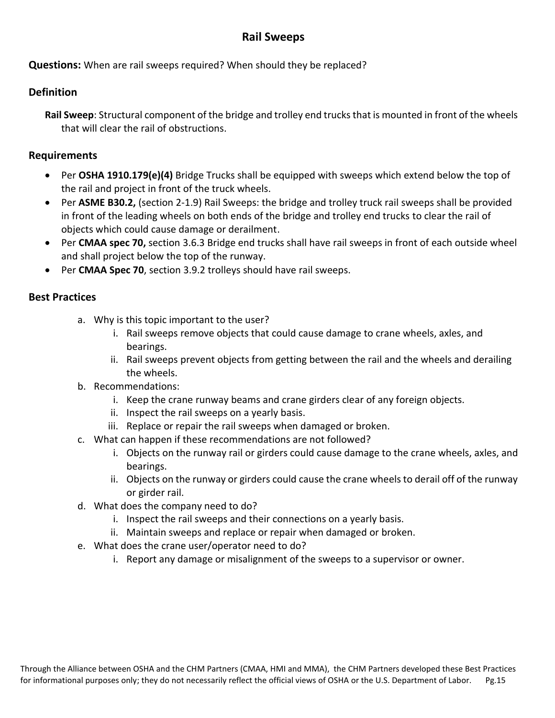# **Rail Sweeps**

**Questions:** When are rail sweeps required? When should they be replaced?

#### **Definition**

**Rail Sweep**: Structural component of the bridge and trolley end trucks that is mounted in front of the wheels that will clear the rail of obstructions.

#### **Requirements**

- Per **OSHA 1910.179(e)(4)** Bridge Trucks shall be equipped with sweeps which extend below the top of the rail and project in front of the truck wheels.
- Per **ASME B30.2,** (section 2-1.9) Rail Sweeps: the bridge and trolley truck rail sweeps shall be provided in front of the leading wheels on both ends of the bridge and trolley end trucks to clear the rail of objects which could cause damage or derailment.
- Per **CMAA spec 70,** section 3.6.3 Bridge end trucks shall have rail sweeps in front of each outside wheel and shall project below the top of the runway.
- Per **CMAA Spec 70**, section 3.9.2 trolleys should have rail sweeps.

- a. Why is this topic important to the user?
	- i. Rail sweeps remove objects that could cause damage to crane wheels, axles, and bearings.
	- ii. Rail sweeps prevent objects from getting between the rail and the wheels and derailing the wheels.
- b. Recommendations:
	- i. Keep the crane runway beams and crane girders clear of any foreign objects.
	- ii. Inspect the rail sweeps on a yearly basis.
	- iii. Replace or repair the rail sweeps when damaged or broken.
- c. What can happen if these recommendations are not followed?
	- i. Objects on the runway rail or girders could cause damage to the crane wheels, axles, and bearings.
	- ii. Objects on the runway or girders could cause the crane wheels to derail off of the runway or girder rail.
- d. What does the company need to do?
	- i. Inspect the rail sweeps and their connections on a yearly basis.
	- ii. Maintain sweeps and replace or repair when damaged or broken.
- e. What does the crane user/operator need to do?
	- i. Report any damage or misalignment of the sweeps to a supervisor or owner.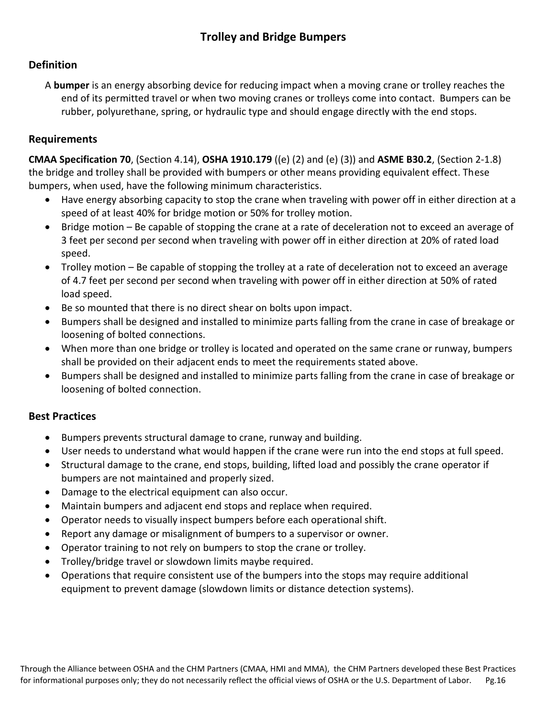#### **Definition**

A **bumper** is an energy absorbing device for reducing impact when a moving crane or trolley reaches the end of its permitted travel or when two moving cranes or trolleys come into contact. Bumpers can be rubber, polyurethane, spring, or hydraulic type and should engage directly with the end stops.

#### **Requirements**

**CMAA Specification 70**, (Section 4.14), **OSHA 1910.179** ((e) (2) and (e) (3)) and **ASME B30.2**, (Section 2-1.8) the bridge and trolley shall be provided with bumpers or other means providing equivalent effect. These bumpers, when used, have the following minimum characteristics.

- Have energy absorbing capacity to stop the crane when traveling with power off in either direction at a speed of at least 40% for bridge motion or 50% for trolley motion.
- Bridge motion Be capable of stopping the crane at a rate of deceleration not to exceed an average of 3 feet per second per second when traveling with power off in either direction at 20% of rated load speed.
- Trolley motion Be capable of stopping the trolley at a rate of deceleration not to exceed an average of 4.7 feet per second per second when traveling with power off in either direction at 50% of rated load speed.
- Be so mounted that there is no direct shear on bolts upon impact.
- Bumpers shall be designed and installed to minimize parts falling from the crane in case of breakage or loosening of bolted connections.
- When more than one bridge or trolley is located and operated on the same crane or runway, bumpers shall be provided on their adjacent ends to meet the requirements stated above.
- Bumpers shall be designed and installed to minimize parts falling from the crane in case of breakage or loosening of bolted connection.

- Bumpers prevents structural damage to crane, runway and building.
- User needs to understand what would happen if the crane were run into the end stops at full speed.
- Structural damage to the crane, end stops, building, lifted load and possibly the crane operator if bumpers are not maintained and properly sized.
- Damage to the electrical equipment can also occur.
- Maintain bumpers and adjacent end stops and replace when required.
- Operator needs to visually inspect bumpers before each operational shift.
- Report any damage or misalignment of bumpers to a supervisor or owner.
- Operator training to not rely on bumpers to stop the crane or trolley.
- Trolley/bridge travel or slowdown limits maybe required.
- Operations that require consistent use of the bumpers into the stops may require additional equipment to prevent damage (slowdown limits or distance detection systems).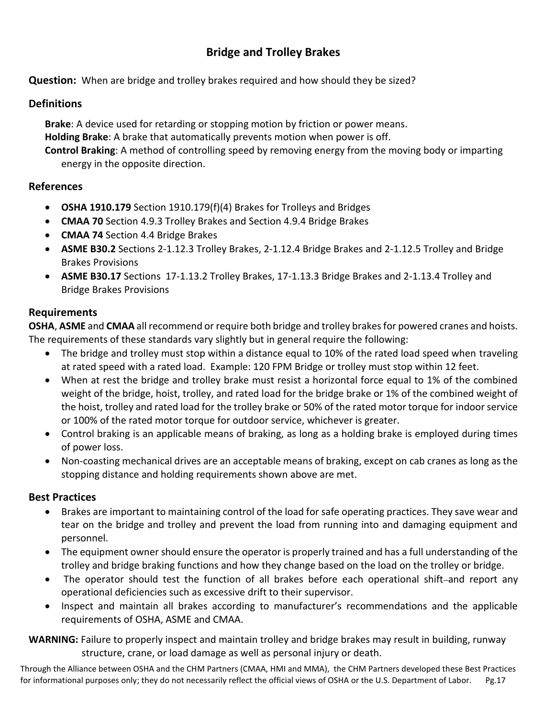# **Bridge and Trolley Brakes**

**Question:** When are bridge and trolley brakes required and how should they be sized?

#### **Definitions**

**Brake**: A device used for retarding or stopping motion by friction or power means. **Holding Brake**: A brake that automatically prevents motion when power is off. **Control Braking**: A method of controlling speed by removing energy from the moving body or imparting energy in the opposite direction.

#### **References**

- **OSHA 1910.179** Section 1910.179(f)(4) Brakes for Trolleys and Bridges
- **CMAA 70** Section 4.9.3 Trolley Brakes and Section 4.9.4 Bridge Brakes
- **CMAA 74** Section 4.4 Bridge Brakes
- **ASME B30.2** Sections 2-1.12.3 Trolley Brakes, 2-1.12.4 Bridge Brakes and 2-1.12.5 Trolley and Bridge Brakes Provisions
- **ASME B30.17** Sections 17-1.13.2 Trolley Brakes, 17-1.13.3 Bridge Brakes and 2-1.13.4 Trolley and Bridge Brakes Provisions

#### **Requirements**

**OSHA**, **ASME** and **CMAA** all recommend or require both bridge and trolley brakes for powered cranes and hoists. The requirements of these standards vary slightly but in general require the following:

- The bridge and trolley must stop within a distance equal to 10% of the rated load speed when traveling at rated speed with a rated load. Example: 120 FPM Bridge or trolley must stop within 12 feet.
- When at rest the bridge and trolley brake must resist a horizontal force equal to 1% of the combined weight of the bridge, hoist, trolley, and rated load for the bridge brake or 1% of the combined weight of the hoist, trolley and rated load for the trolley brake or 50% of the rated motor torque for indoor service or 100% of the rated motor torque for outdoor service, whichever is greater.
- Control braking is an applicable means of braking, as long as a holding brake is employed during times of power loss.
- Non-coasting mechanical drives are an acceptable means of braking, except on cab cranes as long as the stopping distance and holding requirements shown above are met.

#### **Best Practices**

- Brakes are important to maintaining control of the load for safe operating practices. They save wear and tear on the bridge and trolley and prevent the load from running into and damaging equipment and personnel.
- The equipment owner should ensure the operator is properly trained and has a full understanding of the trolley and bridge braking functions and how they change based on the load on the trolley or bridge.
- The operator should test the function of all brakes before each operational shift-and report any operational deficiencies such as excessive drift to their supervisor.
- Inspect and maintain all brakes according to manufacturer's recommendations and the applicable requirements of OSHA, ASME and CMAA.

**WARNING:** Failure to properly inspect and maintain trolley and bridge brakes may result in building, runway structure, crane, or load damage as well as personal injury or death.

Through the Alliance between OSHA and the CHM Partners (CMAA, HMI and MMA), the CHM Partners developed these Best Practices for informational purposes only; they do not necessarily reflect the official views of OSHA or the U.S. Department of Labor. Pg.17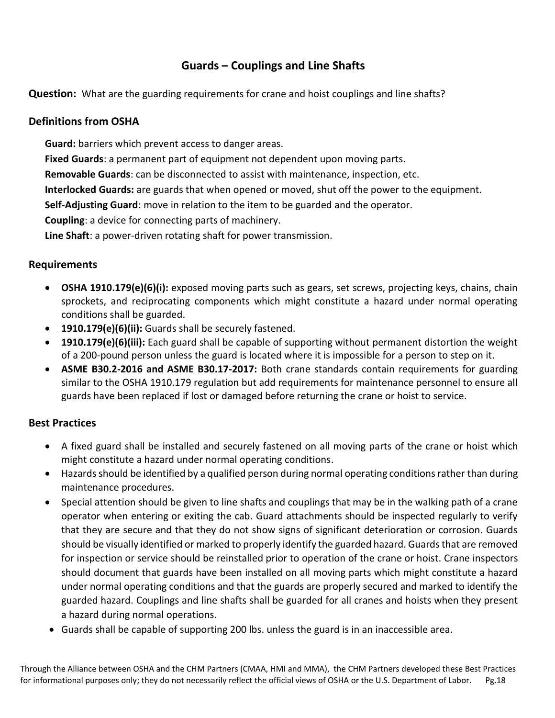# **Guards – Couplings and Line Shafts**

**Question:** What are the guarding requirements for crane and hoist couplings and line shafts?

#### **Definitions from OSHA**

**Guard:** barriers which prevent access to danger areas.

**[Fixed](https://www.osha.gov/SLTC/etools/machineguarding/guards.html#Fixed) Guards**: a permanent part of equipment not dependent upon moving parts.

**Removable Guards**: can be disconnected to assist with maintenance, inspection, etc.

**[Interlocked](https://www.osha.gov/SLTC/etools/machineguarding/guards.html#Interlocked) Guards:** are guards that when opened or moved, shut off the power to the equipment.

**Self-Adjusting Guard**: move in relation to the item to be guarded and the operator.

**Coupling**: a device for connecting parts of machinery.

**Line Shaft**: a power-driven rotating shaft for power transmission.

#### **Requirements**

- **OSHA 1910.179(e)(6)(i):** exposed moving parts such as gears, set screws, projecting keys, chains, chain sprockets, and reciprocating components which might constitute a hazard under normal operating conditions shall be guarded.
- **1910.179(e)(6)(ii):** Guards shall be securely fastened.
- **1910.179(e)(6)(iii):** Each guard shall be capable of supporting without permanent distortion the weight of a 200-pound person unless the guard is located where it is impossible for a person to step on it.
- **ASME B30.2-2016 and ASME B30.17-2017:** Both crane standards contain requirements for guarding similar to the OSHA 1910.179 regulation but add requirements for maintenance personnel to ensure all guards have been replaced if lost or damaged before returning the crane or hoist to service.

- A fixed guard shall be installed and securely fastened on all moving parts of the crane or hoist which might constitute a hazard under normal operating conditions.
- Hazards should be identified by a qualified person during normal operating conditions rather than during maintenance procedures.
- Special attention should be given to line shafts and couplings that may be in the walking path of a crane operator when entering or exiting the cab. Guard attachments should be inspected regularly to verify that they are secure and that they do not show signs of significant deterioration or corrosion. Guards should be visually identified or marked to properly identify the guarded hazard. Guards that are removed for inspection or service should be reinstalled prior to operation of the crane or hoist. Crane inspectors should document that guards have been installed on all moving parts which might constitute a hazard under normal operating conditions and that the guards are properly secured and marked to identify the guarded hazard. Couplings and line shafts shall be guarded for all cranes and hoists when they present a hazard during normal operations.
- Guards shall be capable of supporting 200 lbs. unless the guard is in an inaccessible area.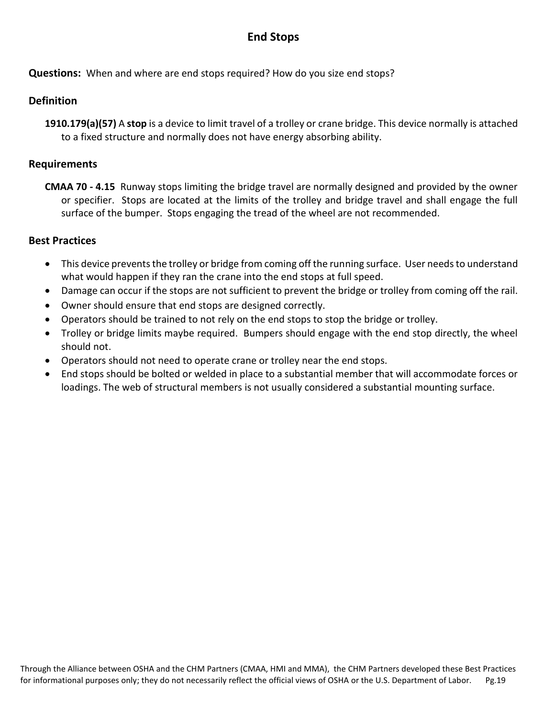# **End Stops**

**Questions:** When and where are end stops required? How do you size end stops?

#### **Definition**

**1910.179(a)(57)** A **stop** is a device to limit travel of a trolley or crane bridge. This device normally is attached to a fixed structure and normally does not have energy absorbing ability.

#### **Requirements**

**CMAA 70 - 4.15** Runway stops limiting the bridge travel are normally designed and provided by the owner or specifier. Stops are located at the limits of the trolley and bridge travel and shall engage the full surface of the bumper. Stops engaging the tread of the wheel are not recommended.

- This device prevents the trolley or bridge from coming off the running surface. User needs to understand what would happen if they ran the crane into the end stops at full speed.
- Damage can occur if the stops are not sufficient to prevent the bridge or trolley from coming off the rail.
- Owner should ensure that end stops are designed correctly.
- Operators should be trained to not rely on the end stops to stop the bridge or trolley.
- Trolley or bridge limits maybe required. Bumpers should engage with the end stop directly, the wheel should not.
- Operators should not need to operate crane or trolley near the end stops.
- End stops should be bolted or welded in place to a substantial member that will accommodate forces or loadings. The web of structural members is not usually considered a substantial mounting surface.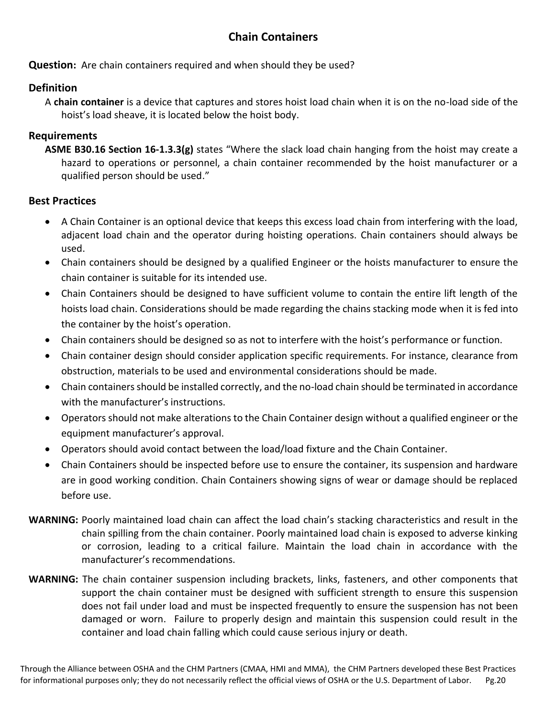# **Chain Containers**

#### **Question:** Are chain containers required and when should they be used?

#### **Definition**

A **chain container** is a device that captures and stores hoist load chain when it is on the no-load side of the hoist's load sheave, it is located below the hoist body.

#### **Requirements**

**ASME B30.16 Section 16-1.3.3(g)** states "Where the slack load chain hanging from the hoist may create a hazard to operations or personnel, a chain container recommended by the hoist manufacturer or a qualified person should be used."

- A Chain Container is an optional device that keeps this excess load chain from interfering with the load, adjacent load chain and the operator during hoisting operations. Chain containers should always be used.
- Chain containers should be designed by a qualified Engineer or the hoists manufacturer to ensure the chain container is suitable for its intended use.
- Chain Containers should be designed to have sufficient volume to contain the entire lift length of the hoists load chain. Considerations should be made regarding the chains stacking mode when it is fed into the container by the hoist's operation.
- Chain containers should be designed so as not to interfere with the hoist's performance or function.
- Chain container design should consider application specific requirements. For instance, clearance from obstruction, materials to be used and environmental considerations should be made.
- Chain containers should be installed correctly, and the no-load chain should be terminated in accordance with the manufacturer's instructions.
- Operators should not make alterations to the Chain Container design without a qualified engineer or the equipment manufacturer's approval.
- Operators should avoid contact between the load/load fixture and the Chain Container.
- Chain Containers should be inspected before use to ensure the container, its suspension and hardware are in good working condition. Chain Containers showing signs of wear or damage should be replaced before use.
- **WARNING:** Poorly maintained load chain can affect the load chain's stacking characteristics and result in the chain spilling from the chain container. Poorly maintained load chain is exposed to adverse kinking or corrosion, leading to a critical failure. Maintain the load chain in accordance with the manufacturer's recommendations.
- **WARNING:** The chain container suspension including brackets, links, fasteners, and other components that support the chain container must be designed with sufficient strength to ensure this suspension does not fail under load and must be inspected frequently to ensure the suspension has not been damaged or worn. Failure to properly design and maintain this suspension could result in the container and load chain falling which could cause serious injury or death.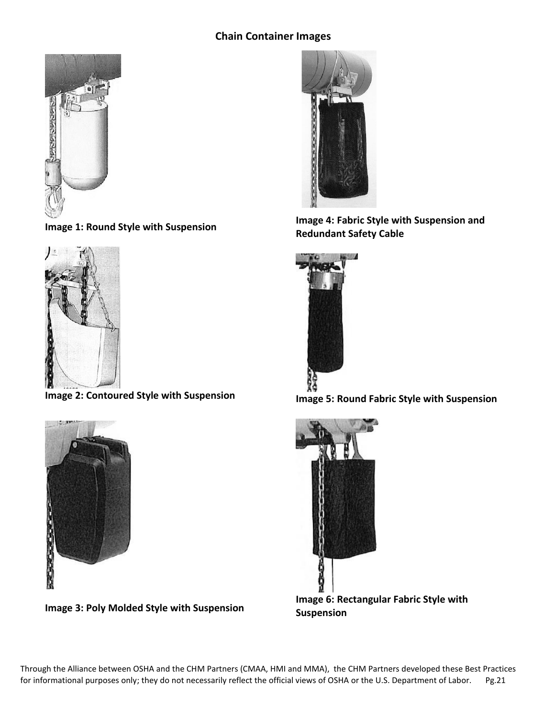#### **Chain Container Images**



**Image 1: Round Style with Suspension**



**Image 2: Contoured Style with Suspension**



**Image 3: Poly Molded Style with Suspension**



**Image 4: Fabric Style with Suspension and Redundant Safety Cable**



**Image 5: Round Fabric Style with Suspension**



**Image 6: Rectangular Fabric Style with Suspension**

Through the Alliance between OSHA and the CHM Partners (CMAA, HMI and MMA), the CHM Partners developed these Best Practices for informational purposes only; they do not necessarily reflect the official views of OSHA or the U.S. Department of Labor. Pg.21